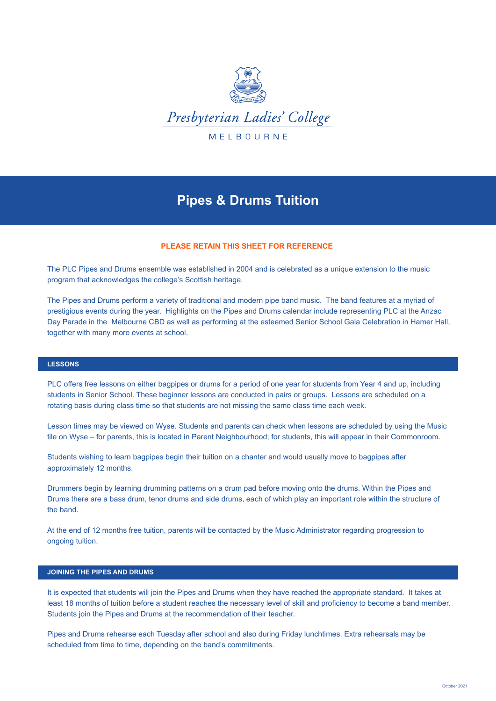

# **Pipes & Drums Tuition**

# **PLEASE RETAIN THIS SHEET FOR REFERENCE**

The PLC Pipes and Drums ensemble was established in 2004 and is celebrated as a unique extension to the music program that acknowledges the college's Scottish heritage.

The Pipes and Drums perform a variety of traditional and modern pipe band music. The band features at a myriad of prestigious events during the year. Highlights on the Pipes and Drums calendar include representing PLC at the Anzac Day Parade in the Melbourne CBD as well as performing at the esteemed Senior School Gala Celebration in Hamer Hall, together with many more events at school.

# **LESSONS**

PLC offers free lessons on either bagpipes or drums for a period of one year for students from Year 4 and up, including students in Senior School. These beginner lessons are conducted in pairs or groups. Lessons are scheduled on a rotating basis during class time so that students are not missing the same class time each week.

Lesson times may be viewed on Wyse. Students and parents can check when lessons are scheduled by using the Music tile on Wyse – for parents, this is located in Parent Neighbourhood; for students, this will appear in their Commonroom.

Students wishing to learn bagpipes begin their tuition on a chanter and would usually move to bagpipes after approximately 12 months.

Drummers begin by learning drumming patterns on a drum pad before moving onto the drums. Within the Pipes and Drums there are a bass drum, tenor drums and side drums, each of which play an important role within the structure of the band.

At the end of 12 months free tuition, parents will be contacted by the Music Administrator regarding progression to ongoing tuition.

# **JOINING THE PIPES AND DRUMS**

It is expected that students will join the Pipes and Drums when they have reached the appropriate standard. It takes at least 18 months of tuition before a student reaches the necessary level of skill and proficiency to become a band member. Students join the Pipes and Drums at the recommendation of their teacher.

Pipes and Drums rehearse each Tuesday after school and also during Friday lunchtimes. Extra rehearsals may be scheduled from time to time, depending on the band's commitments.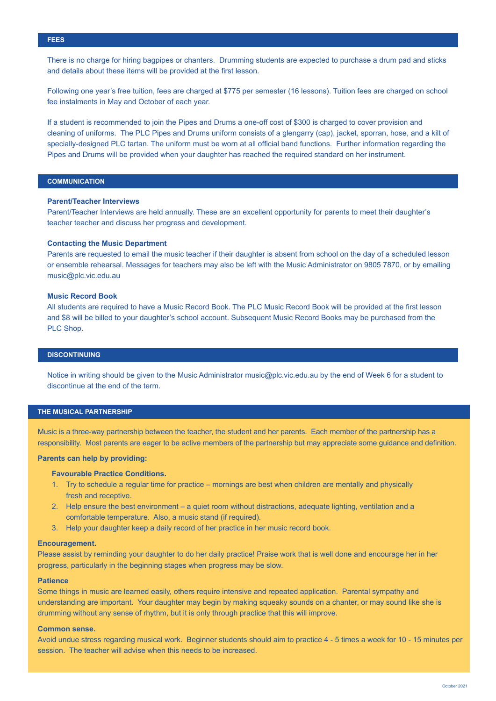There is no charge for hiring bagpipes or chanters. Drumming students are expected to purchase a drum pad and sticks and details about these items will be provided at the first lesson.

Following one year's free tuition, fees are charged at \$775 per semester (16 lessons). Tuition fees are charged on school fee instalments in May and October of each year.

If a student is recommended to join the Pipes and Drums a one-off cost of \$300 is charged to cover provision and cleaning of uniforms. The PLC Pipes and Drums uniform consists of a glengarry (cap), jacket, sporran, hose, and a kilt of specially-designed PLC tartan. The uniform must be worn at all official band functions. Further information regarding the Pipes and Drums will be provided when your daughter has reached the required standard on her instrument.

# **COMMUNICATION**

## **Parent/Teacher Interviews**

Parent/Teacher Interviews are held annually. These are an excellent opportunity for parents to meet their daughter's teacher teacher and discuss her progress and development.

#### **Contacting the Music Department**

Parents are requested to email the music teacher if their daughter is absent from school on the day of a scheduled lesson or ensemble rehearsal. Messages for teachers may also be left with the Music Administrator on 9805 7870, or by emailing music@plc.vic.edu.au

### **Music Record Book**

All students are required to have a Music Record Book. The PLC Music Record Book will be provided at the first lesson and \$8 will be billed to your daughter's school account. Subsequent Music Record Books may be purchased from the PLC Shop.

# **DISCONTINUING**

Notice in writing should be given to the Music Administrator music@plc.vic.edu.au by the end of Week 6 for a student to discontinue at the end of the term.

#### **THE MUSICAL PARTNERSHIP**

Music is a three-way partnership between the teacher, the student and her parents. Each member of the partnership has a responsibility. Most parents are eager to be active members of the partnership but may appreciate some guidance and definition.

# **Parents can help by providing:**

#### **Favourable Practice Conditions.**

- 1. Try to schedule a regular time for practice mornings are best when children are mentally and physically fresh and receptive.
- 2. Help ensure the best environment a quiet room without distractions, adequate lighting, ventilation and a comfortable temperature. Also, a music stand (if required).
- 3. Help your daughter keep a daily record of her practice in her music record book.

### **Encouragement.**

Please assist by reminding your daughter to do her daily practice! Praise work that is well done and encourage her in her progress, particularly in the beginning stages when progress may be slow.

#### **Patience**

Some things in music are learned easily, others require intensive and repeated application. Parental sympathy and understanding are important. Your daughter may begin by making squeaky sounds on a chanter, or may sound like she is drumming without any sense of rhythm, but it is only through practice that this will improve.

#### **Common sense.**

Avoid undue stress regarding musical work. Beginner students should aim to practice 4 - 5 times a week for 10 - 15 minutes per session. The teacher will advise when this needs to be increased.